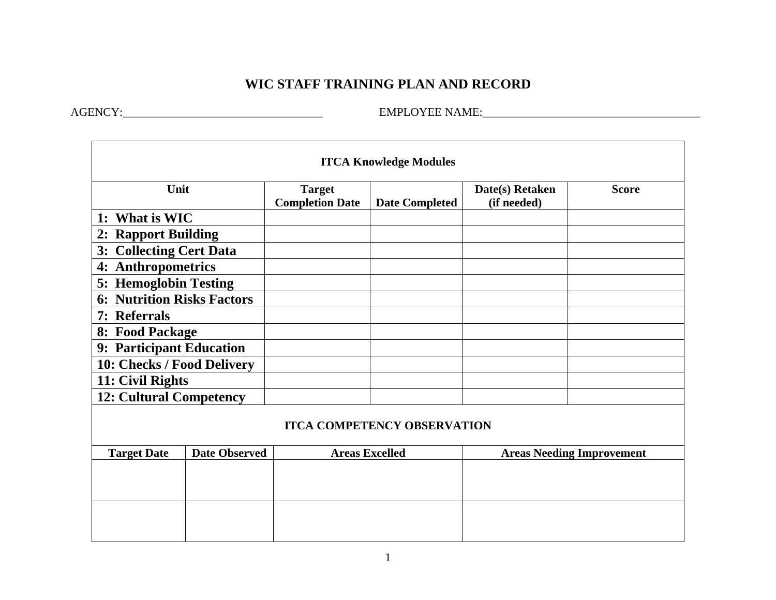## **WIC STAFF TRAINING PLAN AND RECORD**

AGENCY:\_\_\_\_\_\_\_\_\_\_\_\_\_\_\_\_\_\_\_\_\_\_\_\_\_\_\_\_\_\_\_\_\_\_ EMPLOYEE NAME:\_\_\_\_\_\_\_\_\_\_\_\_\_\_\_\_\_\_\_\_\_\_\_\_\_\_\_\_\_\_\_\_\_\_\_\_\_

| <b>ITCA Knowledge Modules</b>      |                      |                                         |                       |                                  |              |  |  |  |
|------------------------------------|----------------------|-----------------------------------------|-----------------------|----------------------------------|--------------|--|--|--|
| Unit                               |                      | <b>Target</b><br><b>Completion Date</b> | <b>Date Completed</b> | Date(s) Retaken<br>(if needed)   | <b>Score</b> |  |  |  |
| 1: What is WIC                     |                      |                                         |                       |                                  |              |  |  |  |
| 2: Rapport Building                |                      |                                         |                       |                                  |              |  |  |  |
| 3: Collecting Cert Data            |                      |                                         |                       |                                  |              |  |  |  |
| 4: Anthropometrics                 |                      |                                         |                       |                                  |              |  |  |  |
| 5: Hemoglobin Testing              |                      |                                         |                       |                                  |              |  |  |  |
| <b>6: Nutrition Risks Factors</b>  |                      |                                         |                       |                                  |              |  |  |  |
| 7: Referrals                       |                      |                                         |                       |                                  |              |  |  |  |
| 8: Food Package                    |                      |                                         |                       |                                  |              |  |  |  |
| 9: Participant Education           |                      |                                         |                       |                                  |              |  |  |  |
| 10: Checks / Food Delivery         |                      |                                         |                       |                                  |              |  |  |  |
| 11: Civil Rights                   |                      |                                         |                       |                                  |              |  |  |  |
| <b>12: Cultural Competency</b>     |                      |                                         |                       |                                  |              |  |  |  |
| <b>ITCA COMPETENCY OBSERVATION</b> |                      |                                         |                       |                                  |              |  |  |  |
| <b>Target Date</b>                 | <b>Date Observed</b> | <b>Areas Excelled</b>                   |                       | <b>Areas Needing Improvement</b> |              |  |  |  |
|                                    |                      |                                         |                       |                                  |              |  |  |  |
|                                    |                      |                                         |                       |                                  |              |  |  |  |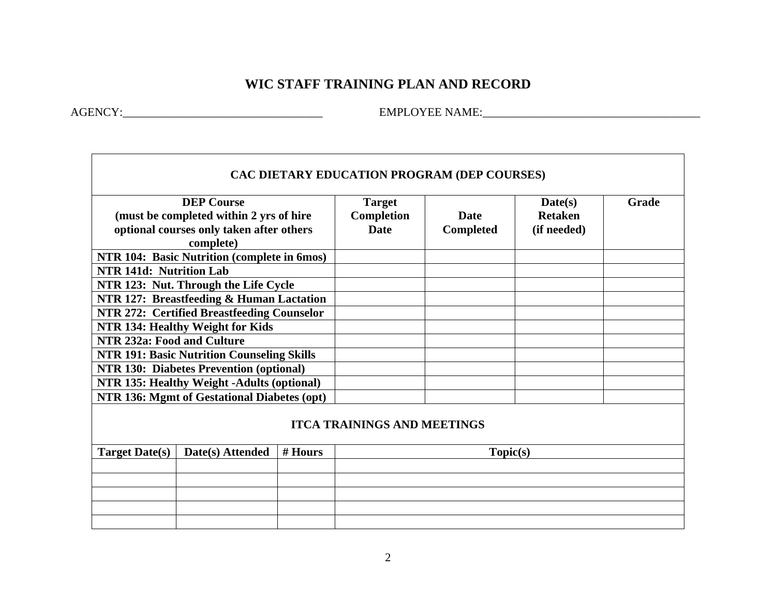## **WIC STAFF TRAINING PLAN AND RECORD**

AGENCY:\_\_\_\_\_\_\_\_\_\_\_\_\_\_\_\_\_\_\_\_\_\_\_\_\_\_\_\_\_\_\_\_\_\_ EMPLOYEE NAME:\_\_\_\_\_\_\_\_\_\_\_\_\_\_\_\_\_\_\_\_\_\_\_\_\_\_\_\_\_\_\_\_\_\_\_\_\_

| CAC DIETARY EDUCATION PROGRAM (DEP COURSES)                                                                           |  |  |                                            |                                 |                                          |       |  |  |
|-----------------------------------------------------------------------------------------------------------------------|--|--|--------------------------------------------|---------------------------------|------------------------------------------|-------|--|--|
| <b>DEP Course</b><br>(must be completed within 2 yrs of hire<br>optional courses only taken after others<br>complete) |  |  | <b>Target</b><br>Completion<br><b>Date</b> | <b>Date</b><br><b>Completed</b> | Date(s)<br><b>Retaken</b><br>(if needed) | Grade |  |  |
| NTR 104: Basic Nutrition (complete in 6mos)                                                                           |  |  |                                            |                                 |                                          |       |  |  |
| NTR 141d: Nutrition Lab                                                                                               |  |  |                                            |                                 |                                          |       |  |  |
| NTR 123: Nut. Through the Life Cycle                                                                                  |  |  |                                            |                                 |                                          |       |  |  |
| NTR 127: Breastfeeding & Human Lactation                                                                              |  |  |                                            |                                 |                                          |       |  |  |
| NTR 272: Certified Breastfeeding Counselor                                                                            |  |  |                                            |                                 |                                          |       |  |  |
| NTR 134: Healthy Weight for Kids                                                                                      |  |  |                                            |                                 |                                          |       |  |  |
| NTR 232a: Food and Culture                                                                                            |  |  |                                            |                                 |                                          |       |  |  |
| <b>NTR 191: Basic Nutrition Counseling Skills</b>                                                                     |  |  |                                            |                                 |                                          |       |  |  |
| NTR 130: Diabetes Prevention (optional)                                                                               |  |  |                                            |                                 |                                          |       |  |  |
| NTR 135: Healthy Weight -Adults (optional)                                                                            |  |  |                                            |                                 |                                          |       |  |  |
| NTR 136: Mgmt of Gestational Diabetes (opt)                                                                           |  |  |                                            |                                 |                                          |       |  |  |
| <b>ITCA TRAININGS AND MEETINGS</b>                                                                                    |  |  |                                            |                                 |                                          |       |  |  |
| <b>Target Date(s)</b><br>Date(s) Attended<br>$#$ Hours                                                                |  |  | Topic(s)                                   |                                 |                                          |       |  |  |
|                                                                                                                       |  |  |                                            |                                 |                                          |       |  |  |
|                                                                                                                       |  |  |                                            |                                 |                                          |       |  |  |
|                                                                                                                       |  |  |                                            |                                 |                                          |       |  |  |
|                                                                                                                       |  |  |                                            |                                 |                                          |       |  |  |
|                                                                                                                       |  |  |                                            |                                 |                                          |       |  |  |